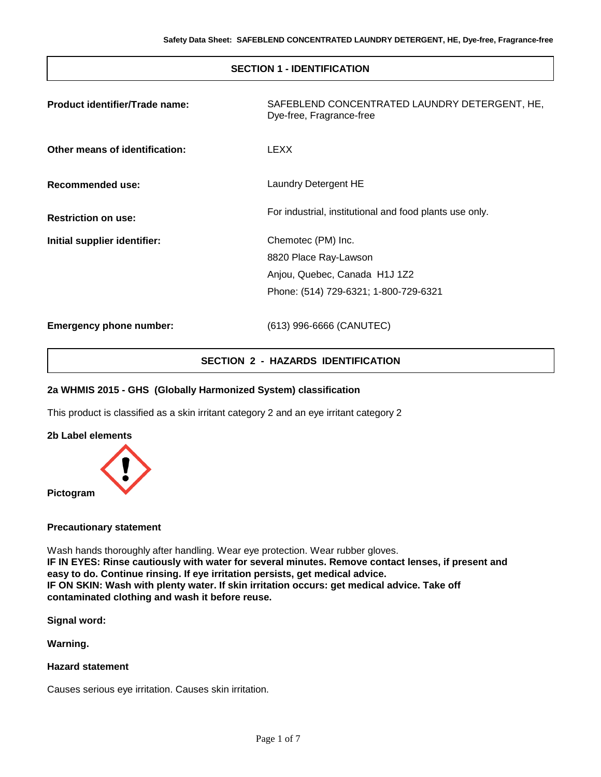## **SECTION 1 - IDENTIFICATION**

| Product identifier/Trade name: | SAFEBLEND CONCENTRATED LAUNDRY DETERGENT, HE,<br>Dye-free, Fragrance-free                                             |
|--------------------------------|-----------------------------------------------------------------------------------------------------------------------|
| Other means of identification: | LEXX                                                                                                                  |
| Recommended use:               | Laundry Detergent HE                                                                                                  |
| <b>Restriction on use:</b>     | For industrial, institutional and food plants use only.                                                               |
| Initial supplier identifier:   | Chemotec (PM) Inc.<br>8820 Place Ray-Lawson<br>Anjou, Quebec, Canada H1J 1Z2<br>Phone: (514) 729-6321; 1-800-729-6321 |
| <b>Emergency phone number:</b> | (613) 996-6666 (CANUTEC)                                                                                              |

# **SECTION 2 - HAZARDS IDENTIFICATION**

#### **2a WHMIS 2015 - GHS (Globally Harmonized System) classification**

This product is classified as a skin irritant category 2 and an eye irritant category 2

**2b Label elements**



#### **Precautionary statement**

Wash hands thoroughly after handling. Wear eye protection. Wear rubber gloves. **IF IN EYES: Rinse cautiously with water for several minutes. Remove contact lenses, if present and easy to do. Continue rinsing. If eye irritation persists, get medical advice. IF ON SKIN: Wash with plenty water. If skin irritation occurs: get medical advice. Take off contaminated clothing and wash it before reuse.**

**Signal word:**

**Warning.**

**Hazard statement**

Causes serious eye irritation. Causes skin irritation.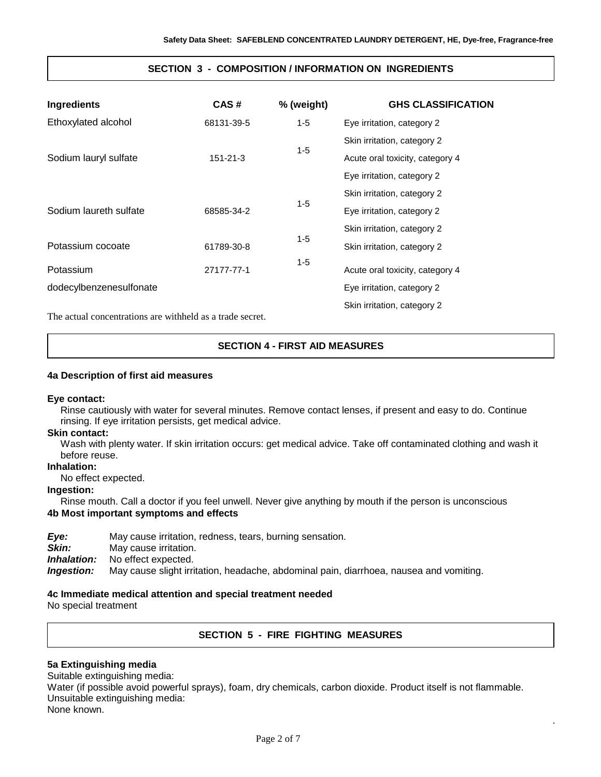## **SECTION 3 - COMPOSITION / INFORMATION ON INGREDIENTS**

| Ingredients             | CAS#       | % (weight) | <b>GHS CLASSIFICATION</b>       |
|-------------------------|------------|------------|---------------------------------|
| Ethoxylated alcohol     | 68131-39-5 | $1 - 5$    | Eye irritation, category 2      |
|                         |            |            | Skin irritation, category 2     |
| Sodium lauryl sulfate   | 151-21-3   | $1 - 5$    | Acute oral toxicity, category 4 |
|                         |            |            | Eye irritation, category 2      |
|                         | 68585-34-2 |            | Skin irritation, category 2     |
| Sodium laureth sulfate  |            | $1 - 5$    | Eye irritation, category 2      |
|                         |            |            | Skin irritation, category 2     |
| Potassium cocoate       | 61789-30-8 | $1 - 5$    | Skin irritation, category 2     |
| Potassium               | 27177-77-1 | $1 - 5$    | Acute oral toxicity, category 4 |
| dodecylbenzenesulfonate |            |            | Eye irritation, category 2      |
|                         |            |            | Skin irritation, category 2     |

The actual concentrations are withheld as a trade secret.

## **SECTION 4 - FIRST AID MEASURES**

#### **4a Description of first aid measures**

#### **Eye contact:**

Rinse cautiously with water for several minutes. Remove contact lenses, if present and easy to do. Continue rinsing. If eye irritation persists, get medical advice.

#### **Skin contact:**

Wash with plenty water. If skin irritation occurs: get medical advice. Take off contaminated clothing and wash it before reuse.

## **Inhalation:**

No effect expected.

## **Ingestion:**

Rinse mouth. Call a doctor if you feel unwell. Never give anything by mouth if the person is unconscious **4b Most important symptoms and effects**

*Eye:* May cause irritation, redness, tears, burning sensation.

**Skin:** May cause irritation.

*Inhalation:* No effect expected.

*Ingestion:* May cause slight irritation, headache, abdominal pain, diarrhoea, nausea and vomiting.

#### **4c Immediate medical attention and special treatment needed**

No special treatment

## **SECTION 5 - FIRE FIGHTING MEASURES**

.

#### **5a Extinguishing media**

Suitable extinguishing media:

Water (if possible avoid powerful sprays), foam, dry chemicals, carbon dioxide. Product itself is not flammable. Unsuitable extinguishing media:

None known.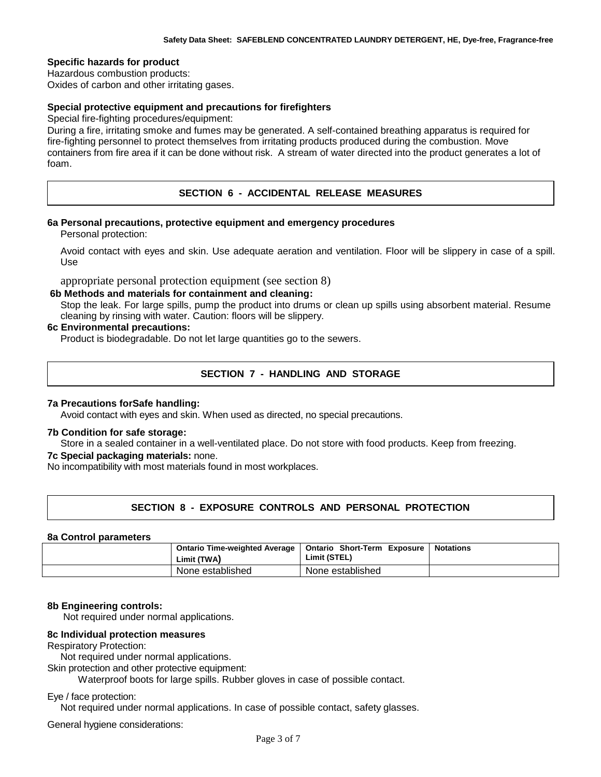#### **Specific hazards for product**

Hazardous combustion products: Oxides of carbon and other irritating gases.

# **Special protective equipment and precautions for firefighters**

Special fire-fighting procedures/equipment:

During a fire, irritating smoke and fumes may be generated. A self-contained breathing apparatus is required for fire-fighting personnel to protect themselves from irritating products produced during the combustion. Move containers from fire area if it can be done without risk. A stream of water directed into the product generates a lot of foam.

## **SECTION 6 - ACCIDENTAL RELEASE MEASURES**

#### **6a Personal precautions, protective equipment and emergency procedures**

Personal protection:

Avoid contact with eyes and skin. Use adequate aeration and ventilation. Floor will be slippery in case of a spill. Use

appropriate personal protection equipment (see section 8)

#### **6b Methods and materials for containment and cleaning:**

Stop the leak. For large spills, pump the product into drums or clean up spills using absorbent material. Resume cleaning by rinsing with water. Caution: floors will be slippery.

#### **6c Environmental precautions:**

Product is biodegradable. Do not let large quantities go to the sewers.

## **SECTION 7 - HANDLING AND STORAGE**

#### **7a Precautions forSafe handling:**

Avoid contact with eyes and skin. When used as directed, no special precautions.

#### **7b Condition for safe storage:**

Store in a sealed container in a well-ventilated place. Do not store with food products. Keep from freezing.

#### **7c Special packaging materials:** none.

No incompatibility with most materials found in most workplaces.

## **SECTION 8 - EXPOSURE CONTROLS AND PERSONAL PROTECTION**

#### **8a Control parameters**

| Ontario Time-weighted Average<br>Limit (TWA) | <b>Ontario Short-Term Exposure</b><br>Limit (STEL) | <b>Notations</b> |
|----------------------------------------------|----------------------------------------------------|------------------|
| None established                             | None established                                   |                  |

#### **8b Engineering controls:**

Not required under normal applications.

#### **8c Individual protection measures**

Respiratory Protection:

Not required under normal applications.

Skin protection and other protective equipment:

Waterproof boots for large spills. Rubber gloves in case of possible contact.

#### Eye / face protection:

Not required under normal applications. In case of possible contact, safety glasses.

General hygiene considerations: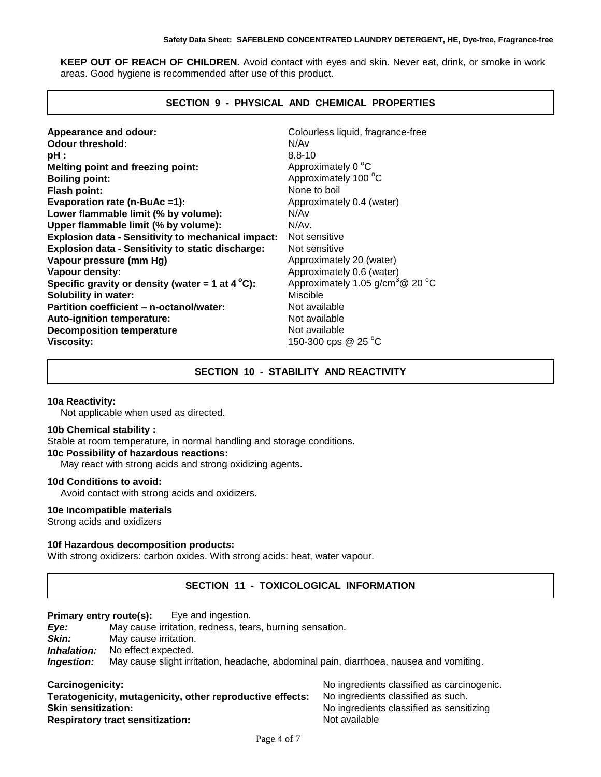**KEEP OUT OF REACH OF CHILDREN.** Avoid contact with eyes and skin. Never eat, drink, or smoke in work areas. Good hygiene is recommended after use of this product.

# **SECTION 9 - PHYSICAL AND CHEMICAL PROPERTIES**

| Appearance and odour:                                     | Colourless liquid, fragrance-free            |
|-----------------------------------------------------------|----------------------------------------------|
| <b>Odour threshold:</b>                                   | N/Av                                         |
| pH :                                                      | $8.8 - 10$                                   |
| Melting point and freezing point:                         | Approximately 0 °C                           |
| <b>Boiling point:</b>                                     | Approximately 100 °C                         |
| Flash point:                                              | None to boil                                 |
| Evaporation rate (n-BuAc =1):                             | Approximately 0.4 (water)                    |
| Lower flammable limit (% by volume):                      | N/A <sub>v</sub>                             |
| Upper flammable limit (% by volume):                      | N/Av.                                        |
| <b>Explosion data - Sensitivity to mechanical impact:</b> | Not sensitive                                |
| <b>Explosion data - Sensitivity to static discharge:</b>  | Not sensitive                                |
| Vapour pressure (mm Hg)                                   | Approximately 20 (water)                     |
| Vapour density:                                           | Approximately 0.6 (water)                    |
| Specific gravity or density (water = 1 at $4^{\circ}$ C): | Approximately 1.05 g/cm <sup>3</sup> @ 20 °C |
| <b>Solubility in water:</b>                               | Miscible                                     |
| Partition coefficient - n-octanol/water:                  | Not available                                |
| Auto-ignition temperature:                                | Not available                                |
| <b>Decomposition temperature</b>                          | Not available                                |
| <b>Viscosity:</b>                                         | 150-300 cps @ 25 °C                          |

# **SECTION 10 - STABILITY AND REACTIVITY**

#### **10a Reactivity:**

Not applicable when used as directed.

#### **10b Chemical stability :**

Stable at room temperature, in normal handling and storage conditions. **10c Possibility of hazardous reactions:**

May react with strong acids and strong oxidizing agents.

#### **10d Conditions to avoid:**

Avoid contact with strong acids and oxidizers.

#### **10e Incompatible materials**

Strong acids and oxidizers

## **10f Hazardous decomposition product***s***:**

With strong oxidizers: carbon oxides. With strong acids: heat, water vapour.

## **SECTION 11 - TOXICOLOGICAL INFORMATION**

# **Primary entry route(s):** Eye and ingestion.<br>**Eye:** May cause irritation, redness, tea

May cause irritation, redness, tears, burning sensation.

**Skin:** May cause irritation.

*Inhalation:* No effect expected.

*Ingestion:* May cause slight irritation, headache, abdominal pain, diarrhoea, nausea and vomiting.

|  |  |  |  | Carcinogenicity: |
|--|--|--|--|------------------|
|--|--|--|--|------------------|

**Teratogenicity, mutagenicity, other reproductive effects:** No ingredients classified as such. **Skin sensitization:** No ingredients classified as sensitizing **Respiratory tract sensitization:** Not available

No ingredients classified as carcinogenic.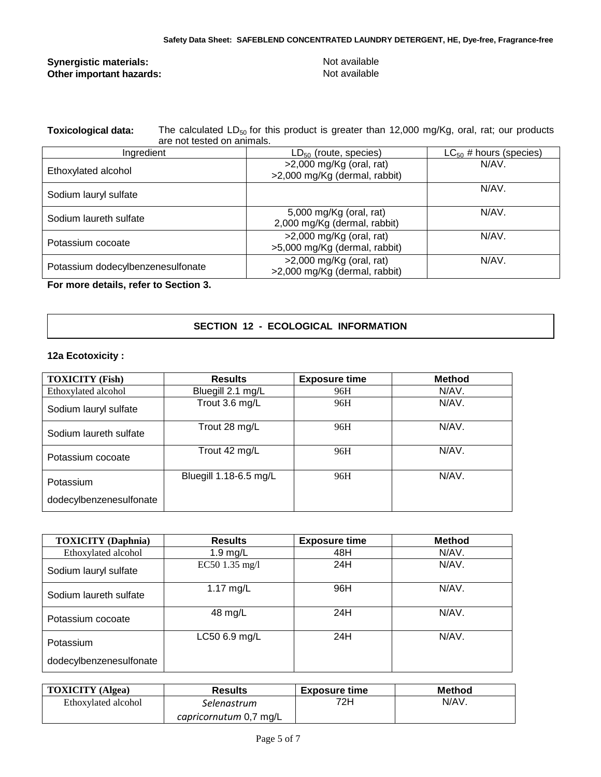## **Synergistic materials:** Not available **Synergistic materials:** Not available **Other important hazards: Other important hazards:**

Toxicological data: The calculated LD<sub>50</sub> for this product is greater than 12,000 mg/Kg, oral, rat; our products are not tested on animals.

| Ingredient                        | $LD_{50}$ (route, species)                                  | $LC_{50}$ # hours (species) |
|-----------------------------------|-------------------------------------------------------------|-----------------------------|
| Ethoxylated alcohol               | $>2,000$ mg/Kg (oral, rat)<br>>2,000 mg/Kg (dermal, rabbit) | N/AV.                       |
| Sodium lauryl sulfate             |                                                             | N/AV.                       |
| Sodium laureth sulfate            | 5,000 mg/Kg (oral, rat)<br>2,000 mg/Kg (dermal, rabbit)     | N/AV.                       |
| Potassium cocoate                 | $>2,000$ mg/Kg (oral, rat)<br>>5,000 mg/Kg (dermal, rabbit) | N/AV.                       |
| Potassium dodecylbenzenesulfonate | $>2,000$ mg/Kg (oral, rat)<br>>2,000 mg/Kg (dermal, rabbit) | N/AV.                       |

**For more details, refer to Section 3.**

## **SECTION 12 - ECOLOGICAL INFORMATION**

## **12a Ecotoxicity :**

| <b>TOXICITY</b> (Fish)  | <b>Results</b>         | <b>Exposure time</b> | <b>Method</b> |
|-------------------------|------------------------|----------------------|---------------|
| Ethoxylated alcohol     | Bluegill 2.1 mg/L      | 96H                  | N/AV.         |
| Sodium lauryl sulfate   | Trout 3.6 mg/L         | 96H                  | N/AV.         |
| Sodium laureth sulfate  | Trout 28 mg/L          | 96H                  | N/AV.         |
| Potassium cocoate       | Trout 42 mg/L          | 96H                  | N/AV.         |
| Potassium               | Bluegill 1.18-6.5 mg/L | 96H                  | N/AV.         |
| dodecylbenzenesulfonate |                        |                      |               |

| <b>TOXICITY</b> (Daphnia) | <b>Results</b> | <b>Exposure time</b> | <b>Method</b> |
|---------------------------|----------------|----------------------|---------------|
| Ethoxylated alcohol       | $1.9$ mg/L     | 48H                  | N/AV.         |
| Sodium lauryl sulfate     | EC50 1.35 mg/l | 24H                  | N/AV.         |
| Sodium laureth sulfate    | 1.17 $mg/L$    | 96H                  | N/AV.         |
| Potassium cocoate         | 48 mg/L        | 24H                  | N/AV.         |
| Potassium                 | LC50 6.9 mg/L  | 24H                  | N/AV.         |
| dodecylbenzenesulfonate   |                |                      |               |

| <b>TOXICITY</b> (Algea) | <b>Results</b>         | <b>Exposure time</b> | <b>Method</b> |
|-------------------------|------------------------|----------------------|---------------|
| Ethoxylated alcohol     | Selenastrum            | 72H.                 | N/AV.         |
|                         | capricornutum 0,7 mg/L |                      |               |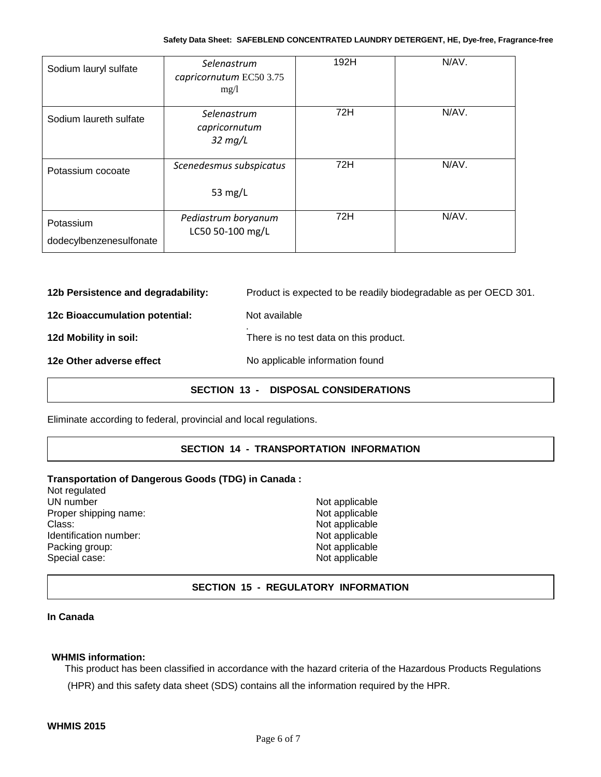| Sodium lauryl sulfate                | Selenastrum<br>capricornutum EC50 3.75<br>mg/1    | 192H | N/AV. |
|--------------------------------------|---------------------------------------------------|------|-------|
| Sodium laureth sulfate               | Selenastrum<br>capricornutum<br>$32 \text{ mg/L}$ | 72H  | N/AV. |
| Potassium cocoate                    | Scenedesmus subspicatus<br>53 $mg/L$              | 72H  | N/AV. |
| Potassium<br>dodecylbenzenesulfonate | Pediastrum boryanum<br>LC50 50-100 mg/L           | 72H  | N/AV. |

**12b Persistence and degradability:** Product is expected to be readily biodegradable as per OECD 301.

**12c Bioaccumulation potential:** Not available

. **12d Mobility in soil:** There is no test data on this product.

# **12e Other adverse effect** No applicable information found

# **SECTION 13 - DISPOSAL CONSIDERATIONS**

Eliminate according to federal, provincial and local regulations.

# **SECTION 14 - TRANSPORTATION INFORMATION**

#### **Transportation of Dangerous Goods (TDG) in Canada :**

Not regulated UN number<br>
Proper shipping name:<br>
Proper shipping name:<br>
Not applicable Proper shipping name:<br>Class: Identification number: Packing group: Not applicable Special case: Not applicable

Not applicable<br>Not applicable

# **SECTION 15 - REGULATORY INFORMATION**

#### **In Canada**

#### **WHMIS information:**

This product has been classified in accordance with the hazard criteria of the Hazardous Products Regulations (HPR) and this safety data sheet (SDS) contains all the information required by the HPR.